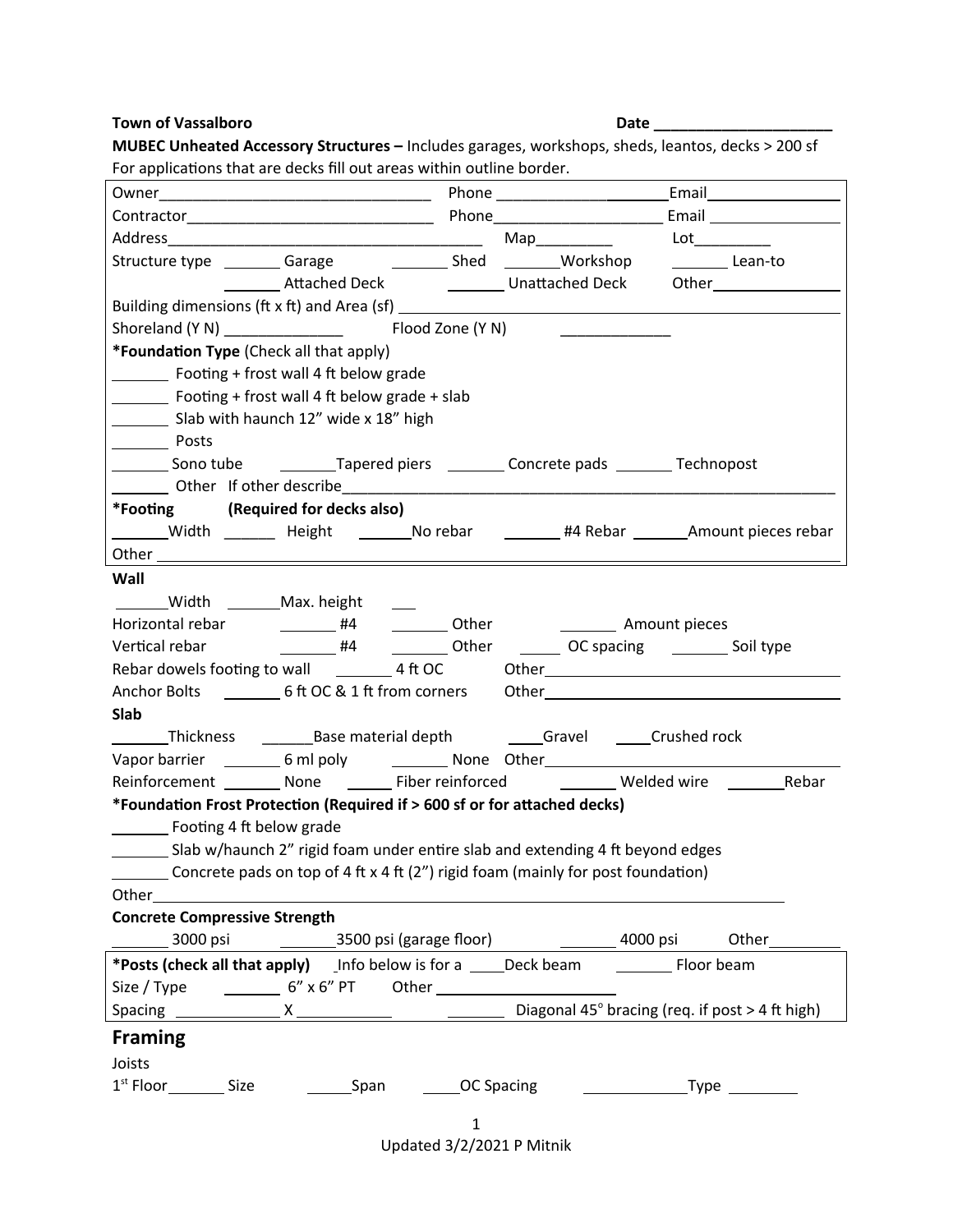## **Town of Vassalboro Date \_\_\_\_\_\_\_\_\_\_\_\_\_\_\_\_\_\_\_\_\_**

| For applications that are decks fill out areas within outline border.                                         |                                                                                              |                                                                                   |                                                                                                   |  |                                                                                                                                                                                                                                |                                                                                   |  |  |
|---------------------------------------------------------------------------------------------------------------|----------------------------------------------------------------------------------------------|-----------------------------------------------------------------------------------|---------------------------------------------------------------------------------------------------|--|--------------------------------------------------------------------------------------------------------------------------------------------------------------------------------------------------------------------------------|-----------------------------------------------------------------------------------|--|--|
|                                                                                                               |                                                                                              |                                                                                   |                                                                                                   |  |                                                                                                                                                                                                                                |                                                                                   |  |  |
|                                                                                                               |                                                                                              |                                                                                   |                                                                                                   |  |                                                                                                                                                                                                                                |                                                                                   |  |  |
|                                                                                                               |                                                                                              |                                                                                   |                                                                                                   |  | Lot the contract of the contract of the contract of the contract of the contract of the contract of the contract of the contract of the contract of the contract of the contract of the contract of the contract of the contra |                                                                                   |  |  |
| Structure type _________ Garage ______________ Shed _________Workshop ___________ Lean-to                     |                                                                                              |                                                                                   |                                                                                                   |  |                                                                                                                                                                                                                                |                                                                                   |  |  |
|                                                                                                               |                                                                                              |                                                                                   |                                                                                                   |  |                                                                                                                                                                                                                                | ___________Attached Deck ________________Unattached Deck ________________________ |  |  |
|                                                                                                               |                                                                                              |                                                                                   |                                                                                                   |  |                                                                                                                                                                                                                                |                                                                                   |  |  |
|                                                                                                               |                                                                                              |                                                                                   |                                                                                                   |  |                                                                                                                                                                                                                                |                                                                                   |  |  |
| *Foundation Type (Check all that apply)                                                                       |                                                                                              |                                                                                   |                                                                                                   |  |                                                                                                                                                                                                                                |                                                                                   |  |  |
| Footing + frost wall 4 ft below grade                                                                         |                                                                                              |                                                                                   |                                                                                                   |  |                                                                                                                                                                                                                                |                                                                                   |  |  |
| Footing + frost wall 4 ft below grade + slab                                                                  |                                                                                              |                                                                                   |                                                                                                   |  |                                                                                                                                                                                                                                |                                                                                   |  |  |
| Slab with haunch 12" wide x 18" high                                                                          |                                                                                              |                                                                                   |                                                                                                   |  |                                                                                                                                                                                                                                |                                                                                   |  |  |
| Posts                                                                                                         |                                                                                              |                                                                                   |                                                                                                   |  |                                                                                                                                                                                                                                |                                                                                   |  |  |
|                                                                                                               |                                                                                              | Sono tube ____________Tapered piers __________ Concrete pads _________ Technopost |                                                                                                   |  |                                                                                                                                                                                                                                |                                                                                   |  |  |
| <b>Example 20</b> Other If other describe <b>Example 20</b> Other If other describe                           |                                                                                              |                                                                                   |                                                                                                   |  |                                                                                                                                                                                                                                |                                                                                   |  |  |
| *Footing (Required for decks also)                                                                            |                                                                                              |                                                                                   |                                                                                                   |  |                                                                                                                                                                                                                                |                                                                                   |  |  |
| _______Width ________ Height ________No rebar _________ #4 Rebar ________Amount pieces rebar                  |                                                                                              |                                                                                   |                                                                                                   |  |                                                                                                                                                                                                                                |                                                                                   |  |  |
|                                                                                                               |                                                                                              |                                                                                   |                                                                                                   |  |                                                                                                                                                                                                                                |                                                                                   |  |  |
| Wall                                                                                                          |                                                                                              |                                                                                   |                                                                                                   |  |                                                                                                                                                                                                                                |                                                                                   |  |  |
| _______Width ________Max. height _____                                                                        |                                                                                              |                                                                                   |                                                                                                   |  |                                                                                                                                                                                                                                |                                                                                   |  |  |
| Horizontal rebar ____________ #4 ____________ Other ____________________________ Amount pieces                |                                                                                              |                                                                                   |                                                                                                   |  |                                                                                                                                                                                                                                |                                                                                   |  |  |
| Vertical rebar                                                                                                | 44 Compared University Compare Texas Advanced Press, 200 April 200 Spacing Compare Soil type |                                                                                   |                                                                                                   |  |                                                                                                                                                                                                                                |                                                                                   |  |  |
| Rebar dowels footing to wall ___________ 4 ft OC dther___________________________                             |                                                                                              |                                                                                   |                                                                                                   |  |                                                                                                                                                                                                                                |                                                                                   |  |  |
| Anchor Bolts __________6 ft OC & 1 ft from corners Other________________________                              |                                                                                              |                                                                                   |                                                                                                   |  |                                                                                                                                                                                                                                |                                                                                   |  |  |
| Slab                                                                                                          |                                                                                              |                                                                                   |                                                                                                   |  |                                                                                                                                                                                                                                |                                                                                   |  |  |
| _________Thickness   _________Base material depth     ______Gravel    _____Crushed rock                       |                                                                                              |                                                                                   |                                                                                                   |  |                                                                                                                                                                                                                                |                                                                                   |  |  |
|                                                                                                               |                                                                                              |                                                                                   | Vapor barrier ___________6 ml poly ______________None Other_____________________                  |  |                                                                                                                                                                                                                                |                                                                                   |  |  |
|                                                                                                               |                                                                                              |                                                                                   | Reinforcement _________ None __________ Fiber reinforced _____________Welded wire __________Rebar |  |                                                                                                                                                                                                                                |                                                                                   |  |  |
| *Foundation Frost Protection (Required if > 600 sf or for attached decks)                                     |                                                                                              |                                                                                   |                                                                                                   |  |                                                                                                                                                                                                                                |                                                                                   |  |  |
| __________ Footing 4 ft below grade                                                                           |                                                                                              |                                                                                   |                                                                                                   |  |                                                                                                                                                                                                                                |                                                                                   |  |  |
|                                                                                                               | Slab w/haunch 2" rigid foam under entire slab and extending 4 ft beyond edges                |                                                                                   |                                                                                                   |  |                                                                                                                                                                                                                                |                                                                                   |  |  |
| Concrete pads on top of 4 ft x 4 ft (2") rigid foam (mainly for post foundation)                              |                                                                                              |                                                                                   |                                                                                                   |  |                                                                                                                                                                                                                                |                                                                                   |  |  |
| Other and the contract of the contract of the contract of the contract of the contract of the contract of the |                                                                                              |                                                                                   |                                                                                                   |  |                                                                                                                                                                                                                                |                                                                                   |  |  |
| <b>Concrete Compressive Strength</b>                                                                          |                                                                                              |                                                                                   |                                                                                                   |  |                                                                                                                                                                                                                                |                                                                                   |  |  |
| __________ 3000 psi _______________3500 psi (garage floor) _____________________4000 psi ______Other___       |                                                                                              |                                                                                   |                                                                                                   |  |                                                                                                                                                                                                                                |                                                                                   |  |  |
|                                                                                                               |                                                                                              |                                                                                   |                                                                                                   |  |                                                                                                                                                                                                                                |                                                                                   |  |  |
| Size / Type $\frac{1}{2}$ 6" x 6" PT Other $\frac{1}{2}$                                                      |                                                                                              |                                                                                   |                                                                                                   |  |                                                                                                                                                                                                                                |                                                                                   |  |  |
|                                                                                                               |                                                                                              |                                                                                   |                                                                                                   |  |                                                                                                                                                                                                                                |                                                                                   |  |  |
| <b>Framing</b>                                                                                                |                                                                                              |                                                                                   |                                                                                                   |  |                                                                                                                                                                                                                                |                                                                                   |  |  |
| Joists                                                                                                        |                                                                                              |                                                                                   |                                                                                                   |  |                                                                                                                                                                                                                                |                                                                                   |  |  |
|                                                                                                               |                                                                                              |                                                                                   |                                                                                                   |  |                                                                                                                                                                                                                                |                                                                                   |  |  |
|                                                                                                               |                                                                                              |                                                                                   |                                                                                                   |  |                                                                                                                                                                                                                                |                                                                                   |  |  |

**MUBEC Unheated Accessory Structures –** Includes garages, workshops, sheds, leantos, decks > 200 sf

1 Updated 3/2/2021 P Mitnik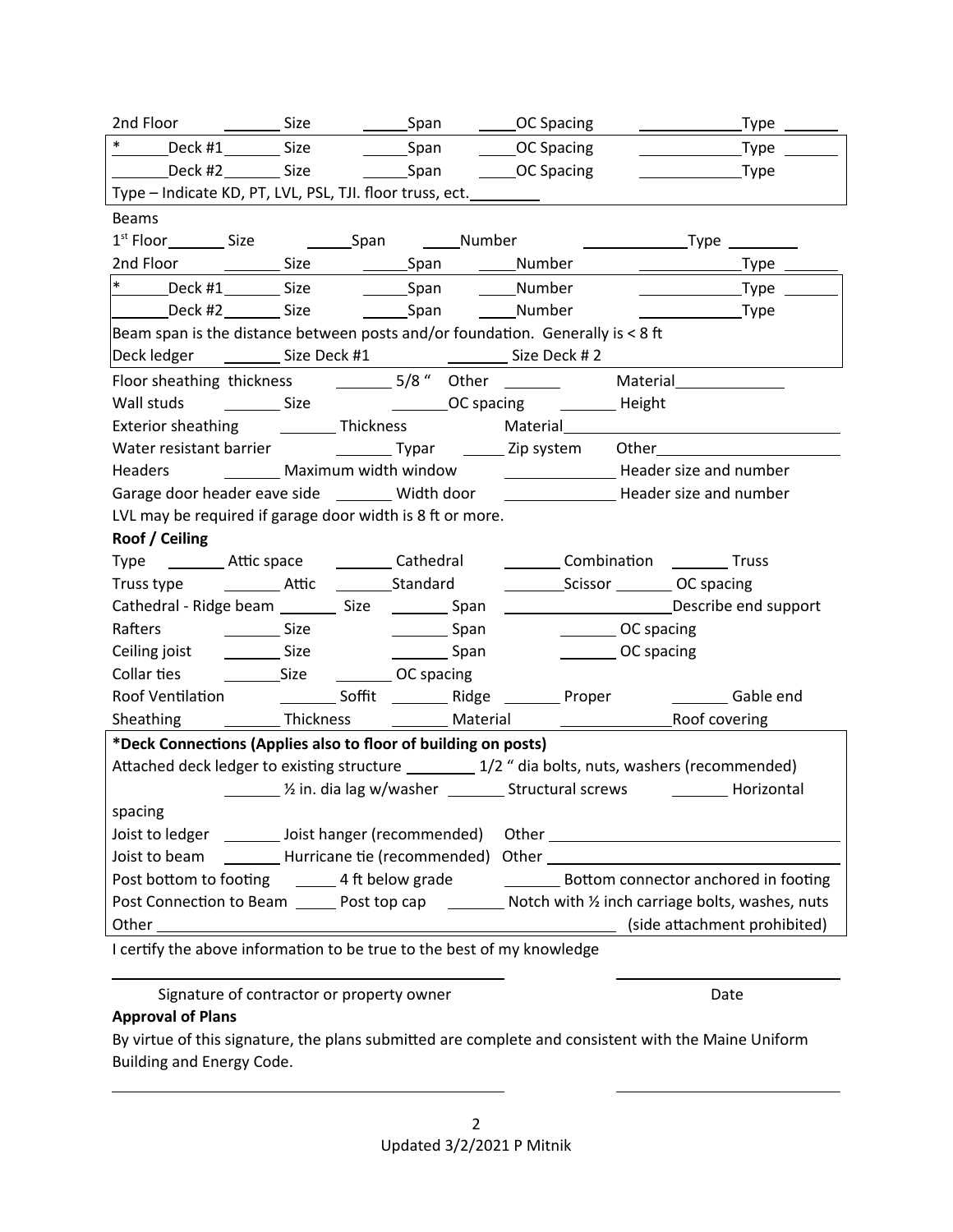|                                                                                                          |                         |                                  |                                                                                         | _Type _______                                                                                                                                                                                                                      |  |  |  |  |  |
|----------------------------------------------------------------------------------------------------------|-------------------------|----------------------------------|-----------------------------------------------------------------------------------------|------------------------------------------------------------------------------------------------------------------------------------------------------------------------------------------------------------------------------------|--|--|--|--|--|
| $*$                                                                                                      | Deck #1__________ Size  | _______Span                      | ______OC Spacing                                                                        | _Type $\rule{1em}{0.15mm}$<br><u> 1990 - John Harry Barn, mars a</u>                                                                                                                                                               |  |  |  |  |  |
| Deck #2 _________ Size                                                                                   |                         |                                  | Span CC Spacing                                                                         | $\sqrt{ }$ Type                                                                                                                                                                                                                    |  |  |  |  |  |
|                                                                                                          |                         |                                  | Type - Indicate KD, PT, LVL, PSL, TJI. floor truss, ect. __________                     |                                                                                                                                                                                                                                    |  |  |  |  |  |
| <b>Beams</b>                                                                                             |                         |                                  |                                                                                         |                                                                                                                                                                                                                                    |  |  |  |  |  |
|                                                                                                          |                         |                                  |                                                                                         |                                                                                                                                                                                                                                    |  |  |  |  |  |
|                                                                                                          |                         |                                  |                                                                                         |                                                                                                                                                                                                                                    |  |  |  |  |  |
| $\ast$                                                                                                   |                         |                                  | _____Number                                                                             | $\begin{array}{c}\n\text{---}\n\end{array}$ $\begin{array}{c}\n\text{Type}\n\end{array}$                                                                                                                                           |  |  |  |  |  |
| Deck #2 Size                                                                                             |                         | ___________Span __________Number |                                                                                         |                                                                                                                                                                                                                                    |  |  |  |  |  |
|                                                                                                          |                         |                                  | Beam span is the distance between posts and/or foundation. Generally is < 8 ft          |                                                                                                                                                                                                                                    |  |  |  |  |  |
|                                                                                                          |                         |                                  |                                                                                         |                                                                                                                                                                                                                                    |  |  |  |  |  |
|                                                                                                          |                         |                                  |                                                                                         | Material Material Material Material Material Material Material Material Material Material Material Material Material Material Material Material Material Material Material Material Material Material Material Material Materi     |  |  |  |  |  |
|                                                                                                          |                         |                                  | Wall studs ____________ Size ______________________OC spacing __________________ Height |                                                                                                                                                                                                                                    |  |  |  |  |  |
| Exterior sheathing ___________ Thickness                                                                 |                         |                                  |                                                                                         |                                                                                                                                                                                                                                    |  |  |  |  |  |
|                                                                                                          |                         |                                  |                                                                                         | Water resistant barrier <b>by Common Lines Common Typar Common Lines Common Common Common Common Common Common Common Common Common Common Common Common Common Common Common Common Common Common Common Common Common Common</b> |  |  |  |  |  |
|                                                                                                          |                         |                                  |                                                                                         |                                                                                                                                                                                                                                    |  |  |  |  |  |
|                                                                                                          |                         |                                  |                                                                                         | Garage door header eave side ________ Width door _______________________ Header size and number                                                                                                                                    |  |  |  |  |  |
| LVL may be required if garage door width is 8 ft or more.                                                |                         |                                  |                                                                                         |                                                                                                                                                                                                                                    |  |  |  |  |  |
| Roof / Ceiling                                                                                           |                         |                                  |                                                                                         |                                                                                                                                                                                                                                    |  |  |  |  |  |
|                                                                                                          |                         |                                  |                                                                                         | Type __________ Attic space ____________ Cathedral ____________ Combination __________ Truss                                                                                                                                       |  |  |  |  |  |
|                                                                                                          |                         |                                  |                                                                                         |                                                                                                                                                                                                                                    |  |  |  |  |  |
|                                                                                                          |                         |                                  |                                                                                         | Cathedral - Ridge beam ____________ Size ____________Span ______________________________Describe end support                                                                                                                       |  |  |  |  |  |
| Rafters                                                                                                  | <u>___________</u> Size | Span Span                        |                                                                                         | OC spacing                                                                                                                                                                                                                         |  |  |  |  |  |
| Ceiling joist                                                                                            | <u>sale</u> Size        | ____________Span                 |                                                                                         | OC spacing                                                                                                                                                                                                                         |  |  |  |  |  |
|                                                                                                          |                         |                                  |                                                                                         |                                                                                                                                                                                                                                    |  |  |  |  |  |
|                                                                                                          |                         |                                  | Roof Ventilation ______________ Soffit ___________ Ridge _________ Proper               | Gable end                                                                                                                                                                                                                          |  |  |  |  |  |
| Sheathing                                                                                                |                         |                                  |                                                                                         |                                                                                                                                                                                                                                    |  |  |  |  |  |
| *Deck Connections (Applies also to floor of building on posts)                                           |                         |                                  |                                                                                         |                                                                                                                                                                                                                                    |  |  |  |  |  |
| Attached deck ledger to existing structure __________ 1/2 " dia bolts, nuts, washers (recommended)       |                         |                                  |                                                                                         |                                                                                                                                                                                                                                    |  |  |  |  |  |
|                                                                                                          |                         |                                  |                                                                                         |                                                                                                                                                                                                                                    |  |  |  |  |  |
| spacing                                                                                                  |                         |                                  |                                                                                         |                                                                                                                                                                                                                                    |  |  |  |  |  |
| Joist to ledger _________ Joist hanger (recommended)                                                     |                         |                                  |                                                                                         |                                                                                                                                                                                                                                    |  |  |  |  |  |
|                                                                                                          |                         |                                  |                                                                                         | Joist to beam __________ Hurricane tie (recommended) Other _____________________                                                                                                                                                   |  |  |  |  |  |
| <b>Example 1</b> Bottom connector anchored in footing                                                    |                         |                                  |                                                                                         |                                                                                                                                                                                                                                    |  |  |  |  |  |
| Post Connection to Beam _______ Post top cap __________ Notch with 1/2 inch carriage bolts, washes, nuts |                         |                                  |                                                                                         |                                                                                                                                                                                                                                    |  |  |  |  |  |
| (side attachment prohibited)<br>Lootify the above information to be true to the best of my knowledge     |                         |                                  |                                                                                         |                                                                                                                                                                                                                                    |  |  |  |  |  |
|                                                                                                          |                         |                                  |                                                                                         |                                                                                                                                                                                                                                    |  |  |  |  |  |

I certify the above information to be true to the best of my knowledge

Signature of contractor or property owner density and the Date

## **Approval of Plans**

 $\overline{a}$ 

 $\overline{\phantom{0}}$ 

By virtue of this signature, the plans submitted are complete and consistent with the Maine Uniform Building and Energy Code.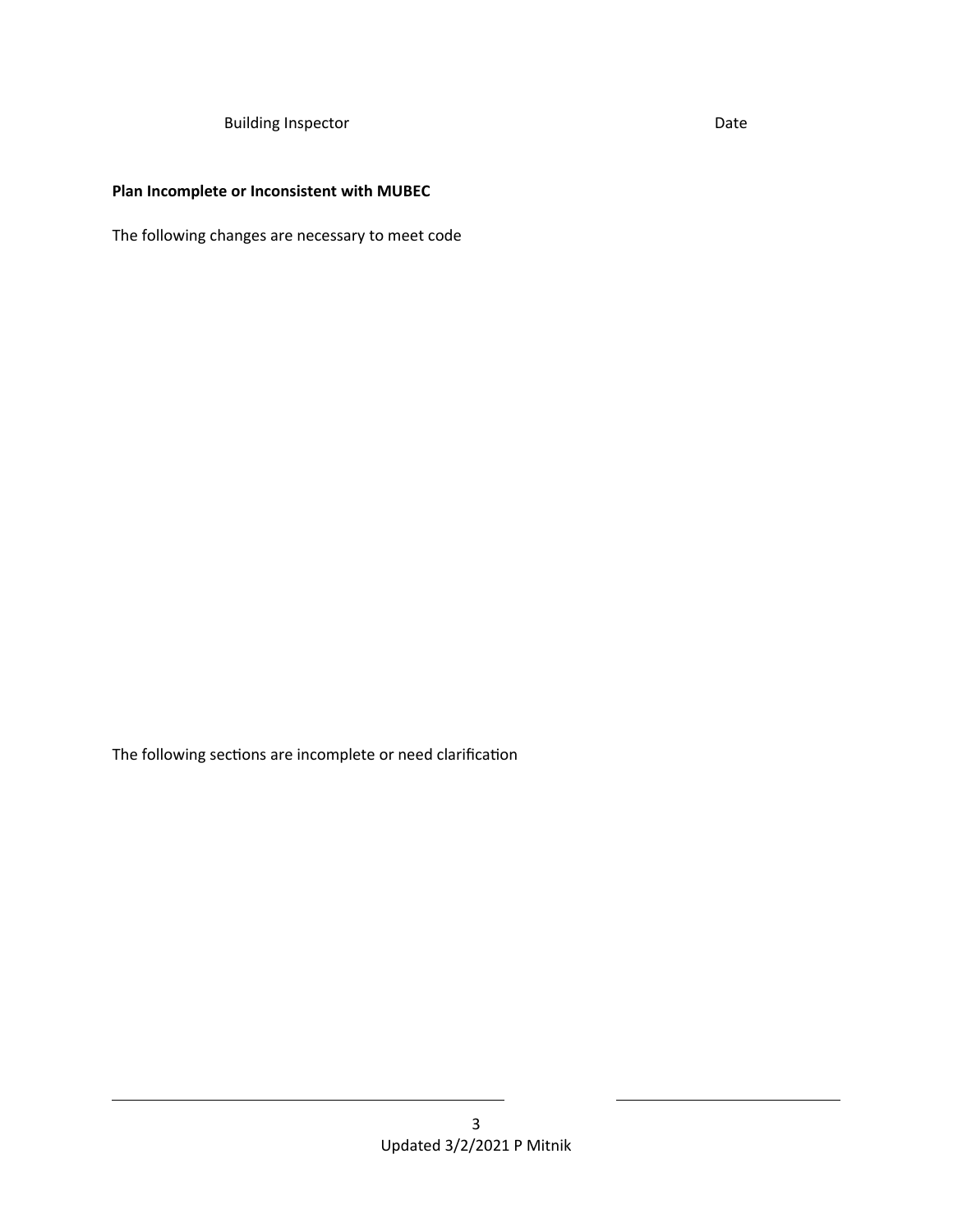Building Inspector **Date** 

## **Plan Incomplete or Inconsistent with MUBEC**

The following changes are necessary to meet code

The following sections are incomplete or need clarification

 $\overline{a}$